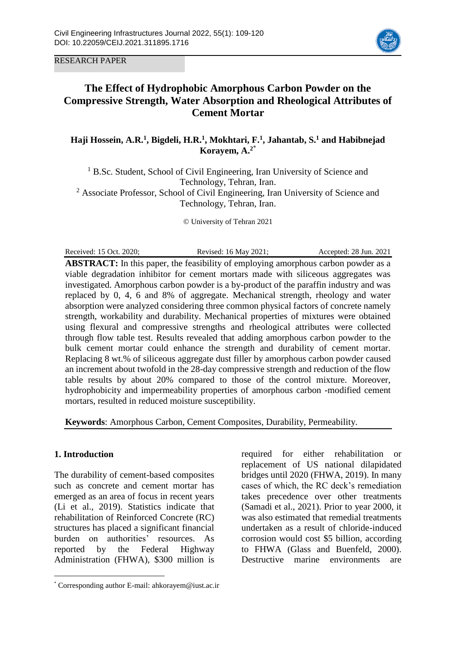

RESEARCH PAPER

# **The Effect of Hydrophobic Amorphous Carbon Powder on the Compressive Strength, Water Absorption and Rheological Attributes of Cement Mortar**

**Haji Hossein, A.R.<sup>1</sup> , Bigdeli, H.R. 1 , Mokhtari, F.<sup>1</sup> , Jahantab, S.<sup>1</sup> and Habibnejad Korayem, A. 2**\*

<sup>1</sup> B.Sc. Student, School of Civil Engineering, Iran University of Science and Technology, Tehran, Iran. <sup>2</sup> Associate Professor, School of Civil Engineering, Iran University of Science and Technology, Tehran, Iran.

© University of Tehran 2021

Received: 15 Oct. 2020; Revised: 16 May 2021; Accepted: 28 Jun. 2021 **ABSTRACT:** In this paper, the feasibility of employing amorphous carbon powder as a viable degradation inhibitor for cement mortars made with siliceous aggregates was investigated. Amorphous carbon powder is a by-product of the paraffin industry and was replaced by 0, 4, 6 and 8% of aggregate. Mechanical strength, rheology and water absorption were analyzed considering three common physical factors of concrete namely strength, workability and durability. Mechanical properties of mixtures were obtained using flexural and compressive strengths and rheological attributes were collected through flow table test. Results revealed that adding amorphous carbon powder to the bulk cement mortar could enhance the strength and durability of cement mortar. Replacing 8 wt.% of siliceous aggregate dust filler by amorphous carbon powder caused an increment about twofold in the 28-day compressive strength and reduction of the flow table results by about 20% compared to those of the control mixture. Moreover, hydrophobicity and impermeability properties of amorphous carbon -modified cement mortars, resulted in reduced moisture susceptibility.

**Keywords**: Amorphous Carbon, Cement Composites, Durability, Permeability.

# **1. Introduction**

 $\overline{a}$ 

The durability of cement-based composites such as concrete and cement mortar has emerged as an area of focus in recent years (Li et al., 2019). Statistics indicate that rehabilitation of Reinforced Concrete (RC) structures has placed a significant financial burden on authorities' resources. As reported by the Federal Highway Administration (FHWA), \$300 million is required for either rehabilitation or replacement of US national dilapidated bridges until 2020 (FHWA, 2019). In many cases of which, the RC deck's remediation takes precedence over other treatments (Samadi et al., 2021). Prior to year 2000, it was also estimated that remedial treatments undertaken as a result of chloride-induced corrosion would cost \$5 billion, according to FHWA (Glass and Buenfeld, 2000). Destructive marine environments are

<sup>\*</sup> Corresponding author E-mail: ahkorayem@iust.ac.ir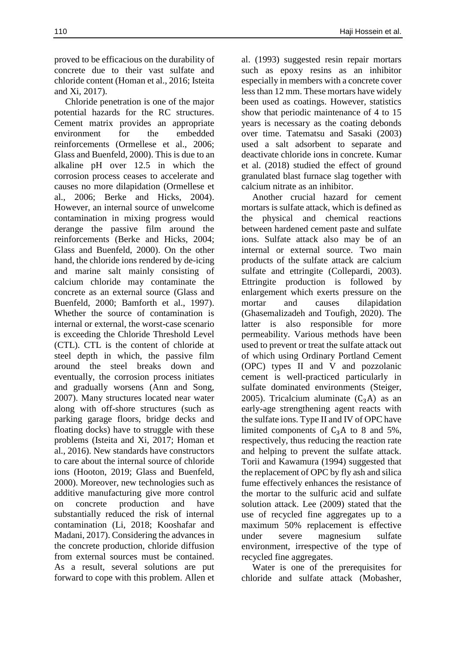proved to be efficacious on the durability of concrete due to their vast sulfate and chloride content (Homan et al., 2016; Isteita and Xi, 2017).

Chloride penetration is one of the major potential hazards for the RC structures. Cement matrix provides an appropriate environment for the embedded reinforcements (Ormellese et al., 2006; Glass and Buenfeld, 2000). This is due to an alkaline pH over 12.5 in which the corrosion process ceases to accelerate and causes no more dilapidation (Ormellese et al., 2006; Berke and Hicks, 2004). However, an internal source of unwelcome contamination in mixing progress would derange the passive film around the reinforcements (Berke and Hicks, 2004; Glass and Buenfeld, 2000). On the other hand, the chloride ions rendered by de-icing and marine salt mainly consisting of calcium chloride may contaminate the concrete as an external source (Glass and Buenfeld, 2000; Bamforth et al., 1997). Whether the source of contamination is internal or external, the worst-case scenario is exceeding the Chloride Threshold Level (CTL). CTL is the content of chloride at steel depth in which, the passive film around the steel breaks down and eventually, the corrosion process initiates and gradually worsens (Ann and Song, 2007). Many structures located near water along with off-shore structures (such as parking garage floors, bridge decks and floating docks) have to struggle with these problems (Isteita and Xi, 2017; Homan et al., 2016). New standards have constructors to care about the internal source of chloride ions (Hooton, 2019; Glass and Buenfeld, 2000). Moreover, new technologies such as additive manufacturing give more control on concrete production and have substantially reduced the risk of internal contamination (Li, 2018; Kooshafar and Madani, 2017). Considering the advances in the concrete production, chloride diffusion from external sources must be contained. As a result, several solutions are put forward to cope with this problem. Allen et

al. (1993) suggested resin repair mortars such as epoxy resins as an inhibitor especially in members with a concrete cover less than 12 mm. These mortars have widely been used as coatings. However, statistics show that periodic maintenance of 4 to 15 years is necessary as the coating debonds over time. Tatematsu and Sasaki (2003) used a salt adsorbent to separate and deactivate chloride ions in concrete. Kumar et al. (2018) studied the effect of ground granulated blast furnace slag together with calcium nitrate as an inhibitor.

Another crucial hazard for cement mortars is sulfate attack, which is defined as the physical and chemical reactions between hardened cement paste and sulfate ions. Sulfate attack also may be of an internal or external source. Two main products of the sulfate attack are calcium sulfate and ettringite (Collepardi, 2003). Ettringite production is followed by enlargement which exerts pressure on the mortar and causes dilapidation (Ghasemalizadeh and Toufigh, 2020). The latter is also responsible for more permeability. Various methods have been used to prevent or treat the sulfate attack out of which using Ordinary Portland Cement (OPC) types II and V and pozzolanic cement is well-practiced particularly in sulfate dominated environments (Steiger, 2005). Tricalcium aluminate  $(C_3A)$  as an early-age strengthening agent reacts with the sulfate ions. Type II and IV of OPC have limited components of  $C_3A$  to 8 and 5%, respectively, thus reducing the reaction rate and helping to prevent the sulfate attack. Torii and Kawamura (1994) suggested that the replacement of OPC by fly ash and silica fume effectively enhances the resistance of the mortar to the sulfuric acid and sulfate solution attack. Lee (2009) stated that the use of recycled fine aggregates up to a maximum 50% replacement is effective under severe magnesium sulfate environment, irrespective of the type of recycled fine aggregates.

Water is one of the prerequisites for chloride and sulfate attack (Mobasher,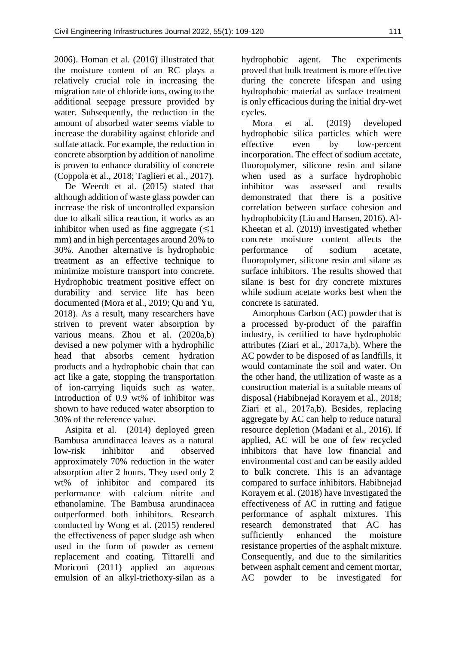2006). Homan et al. (2016) illustrated that the moisture content of an RC plays a relatively crucial role in increasing the migration rate of chloride ions, owing to the additional seepage pressure provided by water. Subsequently, the reduction in the amount of absorbed water seems viable to increase the durability against chloride and sulfate attack. For example, the reduction in concrete absorption by addition of nanolime is proven to enhance durability of concrete (Coppola et al., 2018; Taglieri et al., 2017).

De Weerdt et al. (2015) stated that although addition of waste glass powder can increase the risk of uncontrolled expansion due to alkali silica reaction, it works as an inhibitor when used as fine aggregate  $(\leq 1)$ mm) and in high percentages around 20% to 30%. Another alternative is hydrophobic treatment as an effective technique to minimize moisture transport into concrete. Hydrophobic treatment positive effect on durability and service life has been documented (Mora et al., 2019; Qu and Yu, 2018). As a result, many researchers have striven to prevent water absorption by various means. Zhou et al. (2020a,b) devised a new polymer with a hydrophilic head that absorbs cement hydration products and a hydrophobic chain that can act like a gate, stopping the transportation of ion-carrying liquids such as water. Introduction of 0.9 wt% of inhibitor was shown to have reduced water absorption to 30% of the reference value.

Asipita et al. (2014) deployed green Bambusa arundinacea leaves as a natural low-risk inhibitor and observed approximately 70% reduction in the water absorption after 2 hours. They used only 2 wt% of inhibitor and compared its performance with calcium nitrite and ethanolamine. The Bambusa arundinacea outperformed both inhibitors. Research conducted by Wong et al. (2015) rendered the effectiveness of paper sludge ash when used in the form of powder as cement replacement and coating. Tittarelli and Moriconi (2011) applied an aqueous emulsion of an alkyl-triethoxy-silan as a

hydrophobic agent. The experiments proved that bulk treatment is more effective during the concrete lifespan and using hydrophobic material as surface treatment is only efficacious during the initial dry-wet cycles.

Mora et al. (2019) developed hydrophobic silica particles which were effective even by low-percent incorporation. The effect of sodium acetate, fluoropolymer, silicone resin and silane when used as a surface hydrophobic inhibitor was assessed and results demonstrated that there is a positive correlation between surface cohesion and hydrophobicity (Liu and Hansen, 2016). Al-Kheetan et al. (2019) investigated whether concrete moisture content affects the performance of sodium acetate, fluoropolymer, silicone resin and silane as surface inhibitors. The results showed that silane is best for dry concrete mixtures while sodium acetate works best when the concrete is saturated.

Amorphous Carbon (AC) powder that is a processed by-product of the paraffin industry, is certified to have hydrophobic attributes (Ziari et al., 2017a,b). Where the AC powder to be disposed of as landfills, it would contaminate the soil and water. On the other hand, the utilization of waste as a construction material is a suitable means of disposal (Habibnejad Korayem et al., 2018; Ziari et al., 2017a,b). Besides, replacing aggregate by AC can help to reduce natural resource depletion (Madani et al., 2016). If applied, AC will be one of few recycled inhibitors that have low financial and environmental cost and can be easily added to bulk concrete. This is an advantage compared to surface inhibitors. Habibnejad Korayem et al. (2018) have investigated the effectiveness of AC in rutting and fatigue performance of asphalt mixtures. This research demonstrated that AC has sufficiently enhanced the moisture resistance properties of the asphalt mixture. Consequently, and due to the similarities between asphalt cement and cement mortar, AC powder to be investigated for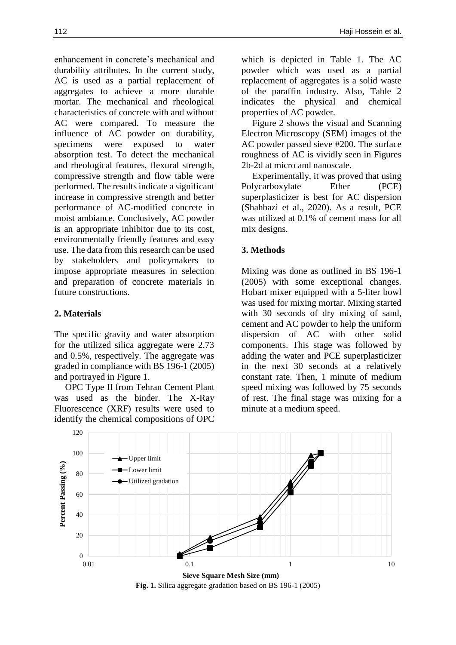enhancement in concrete's mechanical and durability attributes. In the current study, AC is used as a partial replacement of aggregates to achieve a more durable mortar. The mechanical and rheological characteristics of concrete with and without AC were compared. To measure the influence of AC powder on durability, specimens were exposed to water absorption test. To detect the mechanical and rheological features, flexural strength, compressive strength and flow table were performed. The results indicate a significant increase in compressive strength and better performance of AC-modified concrete in moist ambiance. Conclusively, AC powder is an appropriate inhibitor due to its cost, environmentally friendly features and easy use. The data from this research can be used by stakeholders and policymakers to impose appropriate measures in selection and preparation of concrete materials in future constructions.

# **2. Materials**

The specific gravity and water absorption for the utilized silica aggregate were 2.73 and 0.5%, respectively. The aggregate was graded in compliance with BS 196-1 (2005) and portrayed in Figure 1.

OPC Type II from Tehran Cement Plant was used as the binder. The X-Ray Fluorescence (XRF) results were used to identify the chemical compositions of OPC

which is depicted in Table 1. The AC powder which was used as a partial replacement of aggregates is a solid waste of the paraffin industry. Also, Table 2 indicates the physical and chemical properties of AC powder.

Figure 2 shows the visual and Scanning Electron Microscopy (SEM) images of the AC powder passed sieve #200. The surface roughness of AC is vividly seen in Figures 2b-2d at micro and nanoscale.

Experimentally, it was proved that using Polycarboxylate Ether (PCE) superplasticizer is best for AC dispersion (Shahbazi et al., 2020). As a result, PCE was utilized at 0.1% of cement mass for all mix designs.

# **3. Methods**

Mixing was done as outlined in BS 196-1 (2005) with some exceptional changes. Hobart mixer equipped with a 5-liter bowl was used for mixing mortar. Mixing started with 30 seconds of dry mixing of sand, cement and AC powder to help the uniform dispersion of AC with other solid components. This stage was followed by adding the water and PCE superplasticizer in the next 30 seconds at a relatively constant rate. Then, 1 minute of medium speed mixing was followed by 75 seconds of rest. The final stage was mixing for a minute at a medium speed.



**Fig. 1.** Silica aggregate gradation based on BS 196-1 (2005)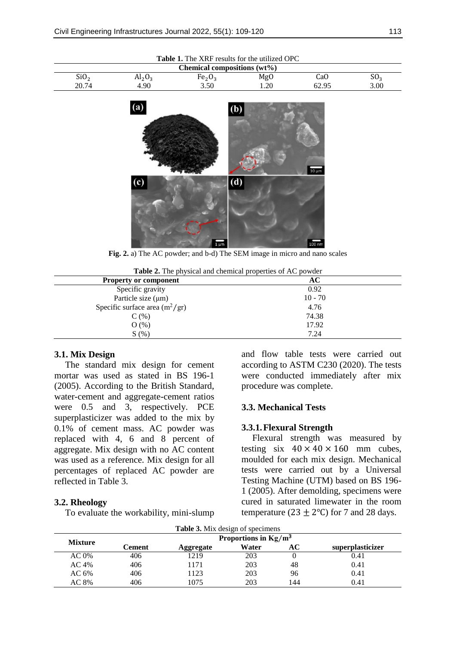| <b>Table 1.</b> The XRF results for the utilized OPC |           |                                |     |       |                 |
|------------------------------------------------------|-----------|--------------------------------|-----|-------|-----------------|
| Chemical compositions $(wt\%)$                       |           |                                |     |       |                 |
| SiO <sub>2</sub>                                     | $Al_2O_3$ | Fe <sub>2</sub> O <sub>3</sub> | Mg0 | CaO   | SO <sub>2</sub> |
| 20.74                                                | 4.90      | 3.50                           | .20 | 62.95 | 3.00            |



**Fig. 2.** a) The AC powder; and b-d) The SEM image in micro and nano scales

**Table 2.** The physical and chemical properties of AC powder

| <b>Property or component</b>     | AC        |  |  |  |
|----------------------------------|-----------|--|--|--|
| Specific gravity                 | 0.92      |  |  |  |
| Particle size $(\mu m)$          | $10 - 70$ |  |  |  |
| Specific surface area $(m^2/gr)$ | 4.76      |  |  |  |
| $C($ %)                          | 74.38     |  |  |  |
| $O(\%)$                          | 17.92     |  |  |  |
| S(%)                             | 7.24      |  |  |  |

#### **3.1. Mix Design**

The standard mix design for cement mortar was used as stated in BS 196-1 (2005). According to the British Standard, water-cement and aggregate-cement ratios were 0.5 and 3, respectively. PCE superplasticizer was added to the mix by 0.1% of cement mass. AC powder was replaced with 4, 6 and 8 percent of aggregate. Mix design with no AC content was used as a reference. Mix design for all percentages of replaced AC powder are reflected in Table 3.

#### **3.2. Rheology**

To evaluate the workability, mini-slump

and flow table tests were carried out according to ASTM C230 (2020). The tests were conducted immediately after mix procedure was complete.

# **3.3. Mechanical Tests**

# **3.3.1.Flexural Strength**

Flexural strength was measured by testing six  $40 \times 40 \times 160$  mm cubes, moulded for each mix design. Mechanical tests were carried out by a Universal Testing Machine (UTM) based on BS 196- 1 (2005). After demolding, specimens were cured in saturated limewater in the room temperature (23  $\pm$  2°C) for 7 and 28 days.

| <b>Table 3.</b> Mix design of specimens |                         |           |       |     |                  |  |
|-----------------------------------------|-------------------------|-----------|-------|-----|------------------|--|
| <b>Mixture</b>                          | Proportions in $Kg/m^3$ |           |       |     |                  |  |
|                                         | Cement                  | Aggregate | Water | AC  | superplasticizer |  |
| AC 0%                                   | 406                     | 1219      | 203   |     | 0.41             |  |
| AC 4%                                   | 406                     | 1171      | 203   | 48  | 0.41             |  |
| AC 6%                                   | 406                     | 1123      | 203   | 96  | 0.41             |  |
| AC 8%                                   | 406                     | 1075      | 203   | 144 | 0.41             |  |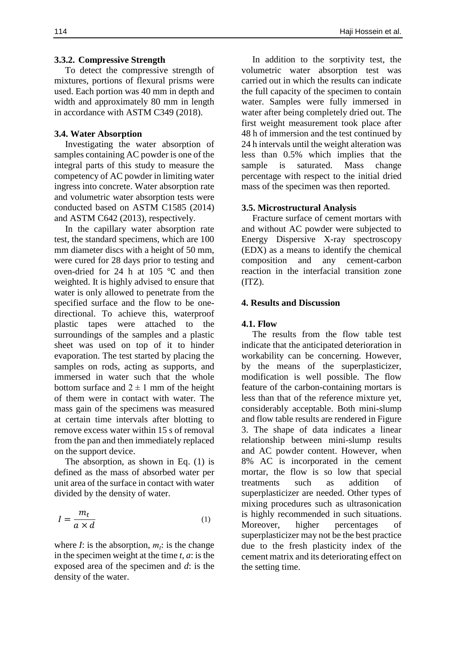#### **3.3.2. Compressive Strength**

To detect the compressive strength of mixtures, portions of flexural prisms were used. Each portion was 40 mm in depth and width and approximately 80 mm in length in accordance with ASTM C349 (2018).

#### **3.4. Water Absorption**

Investigating the water absorption of samples containing AC powder is one of the integral parts of this study to measure the competency of AC powder in limiting water ingress into concrete. Water absorption rate and volumetric water absorption tests were conducted based on ASTM C1585 (2014) and ASTM C642 (2013), respectively.

In the capillary water absorption rate test, the standard specimens, which are 100 mm diameter discs with a height of 50 mm, were cured for 28 days prior to testing and oven-dried for 24 h at 105 ℃ and then weighted. It is highly advised to ensure that water is only allowed to penetrate from the specified surface and the flow to be onedirectional. To achieve this, waterproof plastic tapes were attached to the surroundings of the samples and a plastic sheet was used on top of it to hinder evaporation. The test started by placing the samples on rods, acting as supports, and immersed in water such that the whole bottom surface and  $2 \pm 1$  mm of the height of them were in contact with water. The mass gain of the specimens was measured at certain time intervals after blotting to remove excess water within 15 s of removal from the pan and then immediately replaced on the support device.

The absorption, as shown in Eq. (1) is defined as the mass of absorbed water per unit area of the surface in contact with water divided by the density of water.

$$
I = \frac{m_t}{a \times d} \tag{1}
$$

where *I*: is the absorption,  $m_t$ : is the change in the specimen weight at the time *t*, *a*: is the exposed area of the specimen and *d*: is the density of the water.

In addition to the sorptivity test, the volumetric water absorption test was carried out in which the results can indicate the full capacity of the specimen to contain water. Samples were fully immersed in water after being completely dried out. The first weight measurement took place after 48 h of immersion and the test continued by 24 h intervals until the weight alteration was less than 0.5% which implies that the sample is saturated. Mass change percentage with respect to the initial dried mass of the specimen was then reported.

#### **3.5. Microstructural Analysis**

Fracture surface of cement mortars with and without AC powder were subjected to Energy Dispersive X-ray spectroscopy (EDX) as a means to identify the chemical composition and any cement-carbon reaction in the interfacial transition zone  $(TTZ)$ .

#### **4. Results and Discussion**

#### **4.1. Flow**

The results from the flow table test indicate that the anticipated deterioration in workability can be concerning. However, by the means of the superplasticizer, modification is well possible. The flow feature of the carbon-containing mortars is less than that of the reference mixture yet, considerably acceptable. Both mini-slump and flow table results are rendered in Figure 3. The shape of data indicates a linear relationship between mini-slump results and AC powder content. However, when 8% AC is incorporated in the cement mortar, the flow is so low that special treatments such as addition of superplasticizer are needed. Other types of mixing procedures such as ultrasonication is highly recommended in such situations. Moreover, higher percentages of superplasticizer may not be the best practice due to the fresh plasticity index of the cement matrix and its deteriorating effect on the setting time.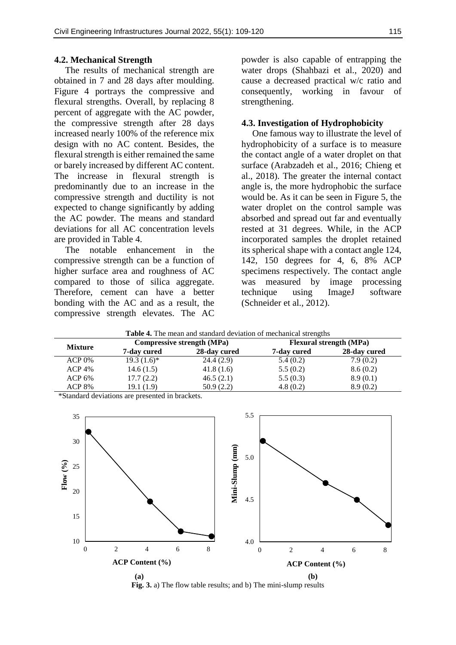#### **4.2. Mechanical Strength**

The results of mechanical strength are obtained in 7 and 28 days after moulding. Figure 4 portrays the compressive and flexural strengths. Overall, by replacing 8 percent of aggregate with the AC powder, the compressive strength after 28 days increased nearly 100% of the reference mix design with no AC content. Besides, the flexural strength is either remained the same or barely increased by different AC content. The increase in flexural strength is predominantly due to an increase in the compressive strength and ductility is not expected to change significantly by adding the AC powder. The means and standard deviations for all AC concentration levels are provided in Table 4.

The notable enhancement in the compressive strength can be a function of higher surface area and roughness of AC compared to those of silica aggregate. Therefore, cement can have a better bonding with the AC and as a result, the compressive strength elevates. The AC

powder is also capable of entrapping the water drops (Shahbazi et al., 2020) and cause a decreased practical w/c ratio and consequently, working in favour of strengthening.

### **4.3. Investigation of Hydrophobicity**

One famous way to illustrate the level of hydrophobicity of a surface is to measure the contact angle of a water droplet on that surface (Arabzadeh et al., 2016; Chieng et al., 2018). The greater the internal contact angle is, the more hydrophobic the surface would be. As it can be seen in Figure 5, the water droplet on the control sample was absorbed and spread out far and eventually rested at 31 degrees. While, in the ACP incorporated samples the droplet retained its spherical shape with a contact angle 124, 142, 150 degrees for 4, 6, 8% ACP specimens respectively. The contact angle was measured by image processing technique using ImageJ software (Schneider et al., 2012).

| <b>Table 4.</b> The mean and standard deviation of mechanical strengths |                                   |              |                                |              |
|-------------------------------------------------------------------------|-----------------------------------|--------------|--------------------------------|--------------|
| <b>Mixture</b>                                                          | <b>Compressive strength (MPa)</b> |              | <b>Flexural strength (MPa)</b> |              |
|                                                                         | 7-day cured                       | 28-day cured | 7-day cured                    | 28-day cured |
| $ACP 0\%$                                                               | $19.3(1.6)^*$                     | 24.4(2.9)    | 5.4(0.2)                       | 7.9(0.2)     |
| $ACP$ 4%                                                                | 14.6(1.5)                         | 41.8(1.6)    | 5.5(0.2)                       | 8.6(0.2)     |
| $ACP_0\%$                                                               | 17.7(2.2)                         | 46.5(2.1)    | 5.5(0.3)                       | 8.9(0.1)     |
| <b>ACP 8%</b>                                                           | 19.1 (1.9)                        | 50.9(2.2)    | 4.8(0.2)                       | 8.9(0.2)     |

**Table 4.** The mean and standard deviation of mechanical strengths

\*Standard deviations are presented in brackets.



**Fig. 3.** a) The flow table results; and b) The mini-slump results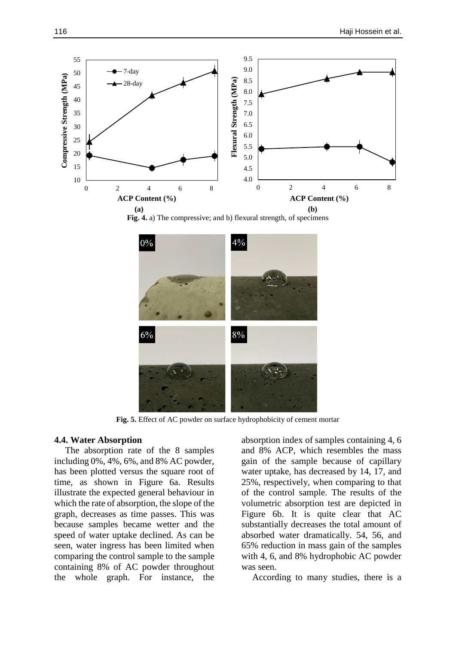





**Fig. 5.** Effect of AC powder on surface hydrophobicity of cement mortar

#### **4.4. Water Absorption**

The absorption rate of the 8 samples including 0%, 4%, 6%, and 8% AC powder, has been plotted versus the square root of time, as shown in Figure 6a. Results illustrate the expected general behaviour in which the rate of absorption, the slope of the graph, decreases as time passes. This was because samples became wetter and the speed of water uptake declined. As can be seen, water ingress has been limited when comparing the control sample to the sample containing 8% of AC powder throughout the whole graph. For instance, the

absorption index of samples containing 4, 6 and 8% ACP, which resembles the mass gain of the sample because of capillary water uptake, has decreased by 14, 17, and 25%, respectively, when comparing to that of the control sample. The results of the volumetric absorption test are depicted in Figure 6b. It is quite clear that AC substantially decreases the total amount of absorbed water dramatically. 54, 56, and 65% reduction in mass gain of the samples with 4, 6, and 8% hydrophobic AC powder was seen.

According to many studies, there is a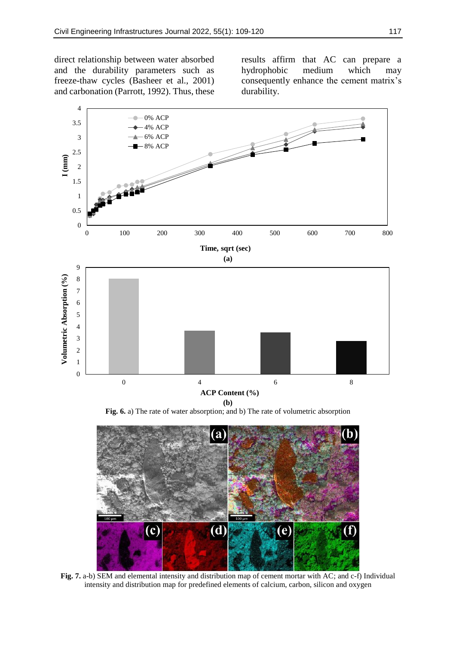direct relationship between water absorbed and the durability parameters such as freeze-thaw cycles (Basheer et al., 2001) and carbonation (Parrott, 1992). Thus, these results affirm that AC can prepare a hydrophobic medium which may consequently enhance the cement matrix's durability.



**Fig. 6.** a) The rate of water absorption; and b) The rate of volumetric absorption



**Fig. 7.** a-b) SEM and elemental intensity and distribution map of cement mortar with AC; and c-f) Individual intensity and distribution map for predefined elements of calcium, carbon, silicon and oxygen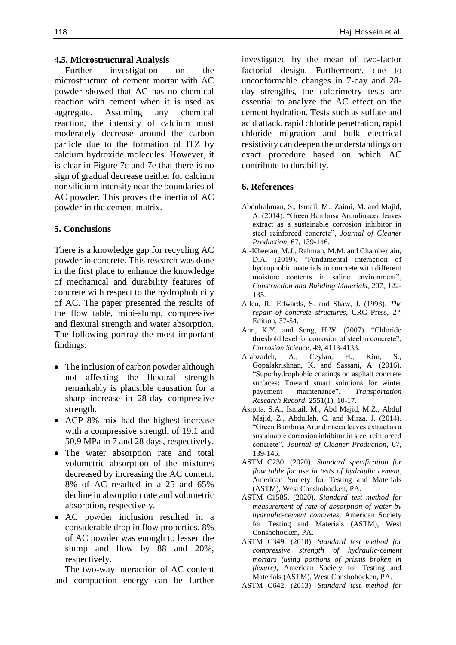### **4.5. Microstructural Analysis**

Further investigation on the microstructure of cement mortar with AC powder showed that AC has no chemical reaction with cement when it is used as aggregate. Assuming any chemical reaction, the intensity of calcium must moderately decrease around the carbon particle due to the formation of ITZ by calcium hydroxide molecules. However, it is clear in Figure 7c and 7e that there is no sign of gradual decrease neither for calcium nor silicium intensity near the boundaries of AC powder. This proves the inertia of AC powder in the cement matrix.

### **5. Conclusions**

There is a knowledge gap for recycling AC powder in concrete. This research was done in the first place to enhance the knowledge of mechanical and durability features of concrete with respect to the hydrophobicity of AC. The paper presented the results of the flow table, mini-slump, compressive and flexural strength and water absorption. The following portray the most important findings:

- The inclusion of carbon powder although not affecting the flexural strength remarkably is plausible causation for a sharp increase in 28-day compressive strength.
- ACP 8% mix had the highest increase with a compressive strength of 19.1 and 50.9 MPa in 7 and 28 days, respectively.
- The water absorption rate and total volumetric absorption of the mixtures decreased by increasing the AC content. 8% of AC resulted in a 25 and 65% decline in absorption rate and volumetric absorption, respectively.
- AC powder inclusion resulted in a considerable drop in flow properties. 8% of AC powder was enough to lessen the slump and flow by 88 and 20%, respectively.

The two-way interaction of AC content and compaction energy can be further investigated by the mean of two-factor factorial design. Furthermore, due to unconformable changes in 7-day and 28 day strengths, the calorimetry tests are essential to analyze the AC effect on the cement hydration. Tests such as sulfate and acid attack, rapid chloride penetration, rapid chloride migration and bulk electrical resistivity can deepen the understandings on exact procedure based on which AC contribute to durability.

### **6. References**

- Abdulrahman, S., Ismail, M., Zaimi, M. and Majid, A. (2014). "Green Bambusa Arundinacea leaves extract as a sustainable corrosion inhibitor in steel reinforced concrete", *Journal of Cleaner Production*, 67, 139-146.
- Al-Kheetan, M.J., Rahman, M.M. and Chamberlain, D.A. (2019). "Fundamental interaction of hydrophobic materials in concrete with different moisture contents in saline environment", *Construction and Building Materials*, 207, 122- 135.
- Allen, R., Edwards, S. and Shaw, J. (1993). *The repair of concrete structures*, CRC Press, 2 nd Edition, 37-54.
- Ann, K.Y. and Song, H.W. (2007). "Chloride threshold level for corrosion of steel in concrete", *Corrosion Science*, 49, 4113-4133.
- Arabzadeh, A., Ceylan, H., Kim, S., Gopalakrishnan, K. and Sassani, A. (2016). "Superhydrophobic coatings on asphalt concrete surfaces: Toward smart solutions for winter pavement maintenance", *Transportation Research Record*, 2551(1), 10-17.
- Asipita, S.A., Ismail, M., Abd Majid, M.Z., Abdul Majid, Z., Abdullah, C. and Mirza, J. (2014). "Green Bambusa Arundinacea leaves extract as a sustainable corrosion inhibitor in steel reinforced concrete", *Journal of Cleaner Production*, 67, 139-146.
- ASTM C230. (2020). *Standard specification for flow table for use in tests of hydraulic cement*, American Society for Testing and Materials (ASTM), West Conshohocken, PA.
- ASTM C1585. (2020). *Standard test method for measurement of rate of absorption of water by hydraulic-cement concretes*, American Society for Testing and Materials (ASTM), West Conshohocken, PA.
- ASTM C349. (2018). *Standard test method for compressive strength of hydraulic-cement mortars (using portions of prisms broken in flexure)*, American Society for Testing and Materials (ASTM), West Conshohocken, PA.
- ASTM C642. (2013). *Standard test method for*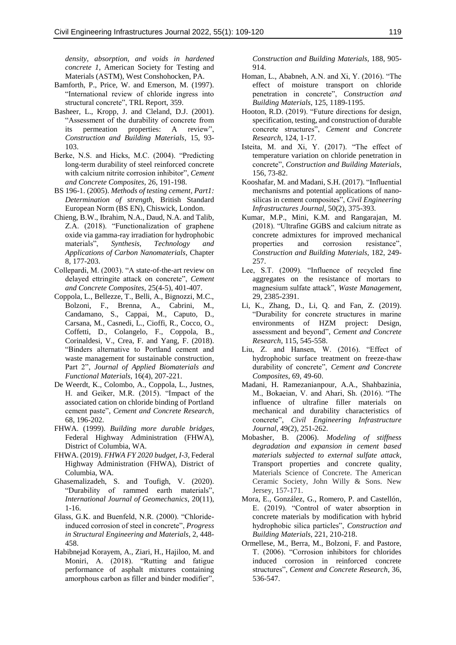*density, absorption, and voids in hardened concrete 1*, American Society for Testing and Materials (ASTM), West Conshohocken, PA.

- Bamforth, P., Price, W. and Emerson, M. (1997). "International review of chloride ingress into structural concrete", TRL Report, 359.
- Basheer, L., Kropp, J. and Cleland, D.J. (2001). "Assessment of the durability of concrete from its permeation properties: A review", *Construction and Building Materials*, 15, 93- 103.
- Berke, N.S. and Hicks, M.C. (2004). "Predicting long-term durability of steel reinforced concrete with calcium nitrite corrosion inhibitor", *Cement and Concrete Composites*, 26, 191-198.
- BS 196-1. (2005). *Methods of testing cement, Part1: Determination of strength*, British Standard European Norm (BS EN), Chiswick, London.
- Chieng, B.W., Ibrahim, N.A., Daud, N.A. and Talib, Z.A. (2018). "Functionalization of graphene oxide via gamma-ray irradiation for hydrophobic materials", *Synthesis, Technology and Applications of Carbon Nanomaterials*, Chapter 8, 177-203.
- Collepardi, M. (2003). "A state-of-the-art review on delayed ettringite attack on concrete", *Cement and Concrete Composites*, 25(4-5), 401-407.
- Coppola, L., Bellezze, T., Belli, A., Bignozzi, M.C., Bolzoni, F., Brenna, A., Cabrini, M., Candamano, S., Cappai, M., Caputo, D., Carsana, M., Casnedi, L., Cioffi, R., Cocco, O., Coffetti, D., Colangelo, F., Coppola, B., Corinaldesi, V., Crea, F. and Yang, F. (2018). "Binders alternative to Portland cement and waste management for sustainable construction, Part 2", *Journal of Applied Biomaterials and Functional Materials*, 16(4), 207-221.
- De Weerdt, K., Colombo, A., Coppola, L., Justnes, H. and Geiker, M.R. (2015). "Impact of the associated cation on chloride binding of Portland cement paste", *Cement and Concrete Research*, 68, 196-202.
- FHWA. (1999). *Building more durable bridges*, Federal Highway Administration (FHWA), District of Columbia, WA.
- FHWA. (2019). *FHWA FY 2020 budget, I-3*, Federal Highway Administration (FHWA), District of Columbia, WA.
- Ghasemalizadeh, S. and Toufigh, V. (2020). "Durability of rammed earth materials", *International Journal of Geomechanics*, 20(11), 1-16.
- Glass, G.K. and Buenfeld, N.R. (2000). "Chlorideinduced corrosion of steel in concrete", *Progress in Structural Engineering and Materials*, 2, 448- 458.
- Habibnejad Korayem, A., Ziari, H., Hajiloo, M. and Moniri, A. (2018). "Rutting and fatigue performance of asphalt mixtures containing amorphous carbon as filler and binder modifier",

*Construction and Building Materials*, 188, 905- 914.

- Homan, L., Ababneh, A.N. and Xi, Y. (2016). "The effect of moisture transport on chloride penetration in concrete", *Construction and Building Materials*, 125, 1189-1195.
- Hooton, R.D. (2019). "Future directions for design, specification, testing, and construction of durable concrete structures", *Cement and Concrete Research*, 124, 1-17.
- Isteita, M. and Xi, Y. (2017). "The effect of temperature variation on chloride penetration in concrete", *Construction and Building Materials*, 156, 73-82.
- Kooshafar, M. and Madani, S.H. (2017). "Influential mechanisms and potential applications of nanosilicas in cement composites", *Civil Engineering Infrastructures Journal*, 50(2), 375-393.
- Kumar, M.P., Mini, K.M. and Rangarajan, M. (2018). "Ultrafine GGBS and calcium nitrate as concrete admixtures for improved mechanical properties and corrosion resistance", *Construction and Building Materials*, 182, 249- 257.
- Lee, S.T. (2009). "Influence of recycled fine aggregates on the resistance of mortars to magnesium sulfate attack", *Waste Management*, 29, 2385-2391.
- Li, K., Zhang, D., Li, Q. and Fan, Z. (2019). "Durability for concrete structures in marine environments of HZM project: Design, assessment and beyond", *Cement and Concrete Research*, 115, 545-558.
- Liu, Z. and Hansen, W. (2016). "Effect of hydrophobic surface treatment on freeze-thaw durability of concrete", *Cement and Concrete Composites*, 69, 49-60.
- Madani, H. Ramezanianpour, A.A., Shahbazinia, M., Bokaeian, V. and Ahari, Sh. (2016). "The influence of ultrafine filler materials on mechanical and durability characteristics of concrete", *Civil Engineering Infrastructure Journal*, 49(2), 251-262.
- Mobasher, B. (2006). *Modeling of stiffness degradation and expansion in cement based materials subjected to external sulfate attack*, Transport properties and concrete quality, Materials Science of Concrete. The American Ceramic Society, John Willy & Sons. New Jersey, 157-171.
- Mora, E., González, G., Romero, P. and Castellón, E. (2019). "Control of water absorption in concrete materials by modification with hybrid hydrophobic silica particles", *Construction and Building Materials*, 221, 210-218.
- Ormellese, M., Berra, M., Bolzoni, F. and Pastore, T. (2006). "Corrosion inhibitors for chlorides induced corrosion in reinforced concrete structures", *Cement and Concrete Research*, 36, 536-547.